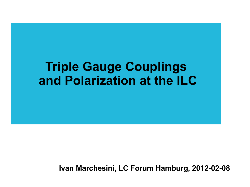#### **Triple Gauge Couplings and Polarization at the ILC**

**Ivan Marchesini, LC Forum Hamburg, 2012-02-08**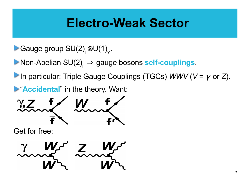#### **Electro-Weak Sector**

- Gauge group SU(2)  $_{\mathsf{L}}^{\mathsf{\odot U(1)}}$ .
- Non-Abelian SU(2) <sup>L</sup> ⇒ gauge bosons **self-couplings**.
- In particular: Triple Gauge Couplings (TGCs) *WWV* (*V* = γ or *Z*).
- **E** "Accidental" in the theory. Want:



Get for free:

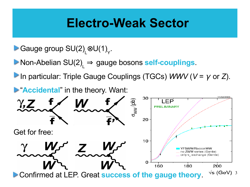#### **Electro-Weak Sector**

- Gauge group SU(2)  $_{\mathsf{L}}^{\mathsf{\odot U(1)}}$ .
- Non-Abelian SU(2) <sup>L</sup> ⇒ gauge bosons **self-couplings**.
- In particular: Triple Gauge Couplings (TGCs) *WWV* (*V* = γ or *Z*).

**Example 12 Accidental**" in the theory. Want:

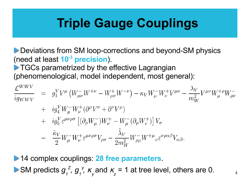# **Triple Gauge Couplings**

**Deviations from SM loop-corrections and beyond-SM physics** (need at least **10-3 precision**).

**TGCs parametrized by the effective Lagrangian** (phenomenological, model independent, most general):

$$
\frac{\mathcal{L}^{WWV}}{ig_{WWV}} = g_1^V V^\mu (W^-_{\mu\nu} W^{+\nu} - W^+_{\mu\nu} W^{-\nu}) - \kappa_V W^-_{\mu} W^+_{\nu} V^{\mu\nu} - \frac{\lambda_V}{m_W^2} V^{\mu\nu} W^+_{\mu} \rho W^-_{\rho\nu} \n+ ig_4^V W^-_{\mu} W^+_{\nu} (\partial^{\mu} V^{\nu} + \partial^{\nu} V^{\mu}) \n+ ig_5^V \varepsilon^{\mu\nu\rho\sigma} \left[ (\partial_{\rho} W^-_{\mu}) W^+_{\nu} - W^-_{\mu} (\partial_{\rho} W^+_{\nu}) \right] V_{\sigma} \n- \frac{\tilde{\kappa}_V}{2} W^-_{\mu} W^+_{\nu} \varepsilon^{\mu\nu\rho\sigma} V_{\rho\sigma} - \frac{\tilde{\lambda}_V}{2 m_W^2} W^-_{\rho\mu} W^{+\mu}{}_{\nu} \varepsilon^{\nu\rho\alpha\beta} V_{\alpha\beta}.
$$

14 complex couplings: **28 free parameters**. SM predicts  $g_1^2$ ,  $g_1^2$ ,  $\kappa$ γ and  $\kappa$ *z*  $= 1$  at tree level, others are 0.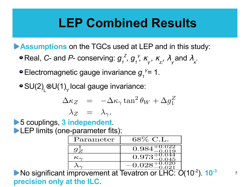# **LEP Combined Results**

**Assumptions** on the TGCs used at LEP and in this study:

- Real, *C* and *P* conserving: *g 1 Z , g 1* γ *,* <sup>κ</sup> γ  *,* <sup>κ</sup> *z; ,* λ γ  $\lambda_{\kappa}$  and  $\lambda_{\kappa}$  .
- Electromagnetic gauge invariance  $g_i^{\gamma} = 1$ .

SU(2)  $\mathsf{L}^{\otimes\mathsf{U}(1)}$ local gauge invariance:

$$
\Delta \kappa_Z = -\Delta \kappa_\gamma \tan^2 \theta_W + \Delta g_1^Z
$$
  

$$
\lambda_Z = \lambda_\gamma.
$$

5 couplings, **3 independent**. LEP limits (one-parameter fits):

| Parameter       | 68% C.L.                         |
|-----------------|----------------------------------|
|                 | ).022<br>).019<br>$0.98^{\circ}$ |
| $\kappa_\gamma$ | -v.v44<br>$0.973^{-}$<br>045     |
|                 | $-0.028^{+0}$                    |

No significant improvement at Tevatron or LHC: *O*(10-2). **10-3 precision only at the ILC**.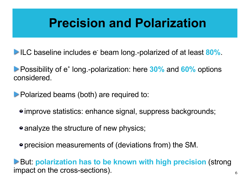# **Precision and Polarization**

ILC baseline includes e- beam long.-polarized of at least **80%**.

Possibility of e<sup>+</sup> long.-polarization: here 30% and 60% options considered.

**Polarized beams (both) are required to:** 

improve statistics: enhance signal, suppress backgrounds;

• analyze the structure of new physics;

precision measurements of (deviations from) the SM.

**But: polarization has to be known with high precision (strong)** impact on the cross-sections).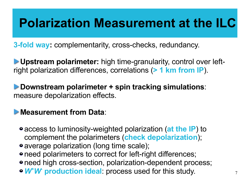# **Polarization Measurement at the ILC**

**3-fold way:** complementarity, cross-checks, redundancy.

**Upstream polarimeter:** high time-granularity, control over leftright polarization differences, correlations (**> 1 km from IP**).

**Downstream polarimeter + spin tracking simulations**: measure depolarization effects.

#### **Measurement from Data**:

- access to luminosity-weighted polarization (**at the IP**) to complement the polarimeters (**check depolarization**);
- average polarization (long time scale);
- need polarimeters to correct for left-right differences;
- need high cross-section, polarization-dependent process;
- *W<sup>+</sup>W-*  **production ideal**: process used for this study.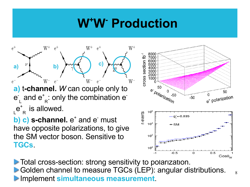# **W<sup>+</sup>W- Production**





Total cross-section: strong sensitivity to polarization. Golden channel to measure TGCs (LEP): angular distributions. **Implement simultaneous measurement.**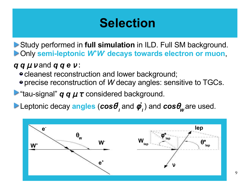# **Selection**

Study performed in **full simulation** in ILD. Full SM background. Only **semi-leptonic** *W<sup>+</sup>W-*  **decays towards electron or muon**,

*q q* µ ν and *q q e* <sup>ν</sup> :

- cleanest reconstruction and lower background;
- precise reconstruction of *W* decay angles: sensitive to TGCs.

 $\triangleright$  "tau-signal" **q q**  $\mu \tau$  considered background.

Leptonic decay **angles** (*cos*θ *\* l* and φ *\**  $\mathcal{L}_{\bm{\theta}}$  ) and  $\bm{cos}\theta_{\bm{w}}$  are used.

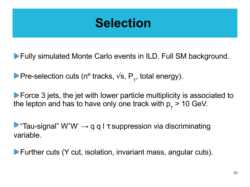## **Selection**

Fully simulated Monte Carlo events in ILD. Full SM background.

Pre-selection cuts (n<sup>o</sup> tracks,  $\sqrt{s}$ , P<sub>T</sub>, total energy).

**Force 3 jets, the jet with lower particle multiplicity is associated to** the lepton and has to have only one track with  $p_{\text{t}}$  > 10 GeV.

**Tau-signal**"  $W^+W^- \rightarrow q q l \tau$  suppression via discriminating variable.

Further cuts (Y cut, isolation, invariant mass, angular cuts).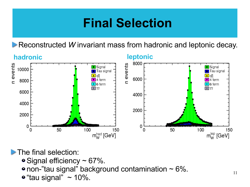# **Final Selection**

Reconstructed *W* invariant mass from hadronic and leptonic decay.



**The final selection:** 

- $\bullet$  Signal efficiency  $\sim$  67%.
- $\bullet$  non-"tau signal" background contamination  $\sim 6\%$ .
- $\bullet$  "tau signal" ~ 10%.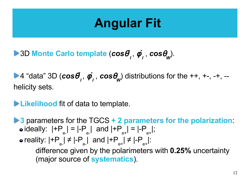# **Angular Fit**

3D **Monte Carlo template** (*cos*θ *\* l*  , φ *\* l* , *cos*θ *W* ).

4 "data" 3D (*cos*θ *\* l*  , φ *\* l* , *cos*θ *W* ) distributions for the ++, +-, -+, - helicity sets.

**Likelihood** fit of data to template.

**3** parameters for the TGCS **+ 2 parameters for the polarization**: ideally: |+P e-  $| = |-P|$ e- | and |+P e+  $| = |-P|$ e+ |; reality: |+P e- | ≠ |-P e- | and |+P e+ | ≠ |-P e+ |: difference given by the polarimeters with **0.25%** uncertainty (major source of **systematics**).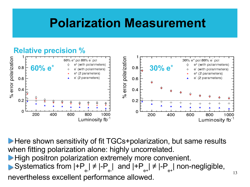## **Polarization Measurement**

#### **Relative precision %**% error polarization % error polarization 30% e<sup>+</sup> pol 80% e pol 60% e<sup>+</sup> pol 80% e pol e<sup>+</sup> (with polarimeters) e<sup>+</sup> (with polarimeters) **60% e<sup>+</sup> 30% e<sup>+</sup>**  $0.8$  $0.8$ (with polarimeters) e (with polarimeters) e e<sup>+</sup> (2 parameters) e<sup>+</sup> (2 parameters) (2 parameters) e (2 parameters)  $0.6$  $0.6$  $0.4$  $0.4$  $0.2$  $0.2$ C Ω 800 600 1000 200 400 600 800 1000 200 400 Luminosity fb<sup>-1</sup> Luminosity fb<sup>-1</sup>

**Here shown sensitivity of fit TGCs+polarization, but same results** when fitting polarization alone: highly uncorrelated. **High positron polarization extremely more convenient.** Systematics from |+P e- | ≠ |-P e- | and |+P e+ | ≠ |-P e+ | non-negligible, nevertheless excellent performance allowed.

13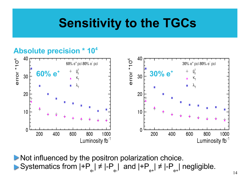# **Sensitivity to the TGCs**

#### **Absolute precision \* 104**



Not influenced by the positron polarization choice. Systematics from |+P e- | ≠ |-P e- | and |+P e+ | ≠ |-P e+ | negligible.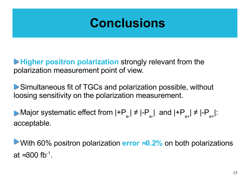#### **Conclusions**

**Higher positron polarization** strongly relevant from the polarization measurement point of view.

Simultaneous fit of TGCs and polarization possible, without loosing sensitivity on the polarization measurement.

Major systematic effect from |+P e- | ≠ |-P e- | and |+P e+ | ≠ |-P e+ |: acceptable.

With 60% positron polarization **error** ≈**0.2%** on both polarizations at ≈300 fb<sup>-1</sup>.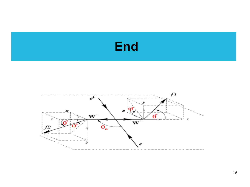



16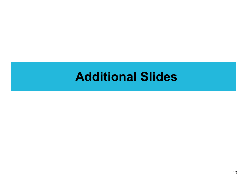#### **Additional Slides**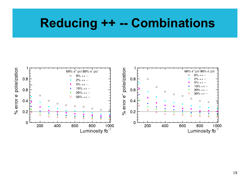#### **Reducing ++ -- Combinations**

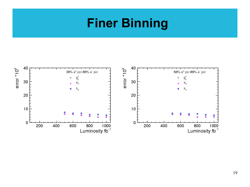## **Finer Binning**

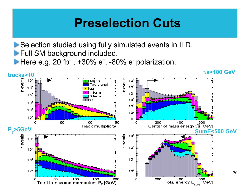#### **Preselection Cuts**

Selection studied using fully simulated events in ILD. **Full SM background included.** 

Here e.g. 20 fb<sup>-1</sup>,  $+30\%$  e<sup>+</sup>,  $-80\%$  e<sup>-</sup> polarization.

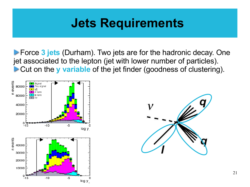## **Jets Requirements**

**Force 3 jets** (Durham). Two jets are for the hadronic decay. One jet associated to the lepton (jet with lower number of particles). **Cut on the y variable** of the jet finder (goodness of clustering).



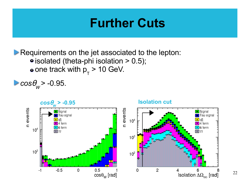#### **Further Cuts**

Requirements on the jet associated to the lepton:  $\bullet$  isolated (theta-phi isolation  $> 0.5$ ); one track with p T > 10 GeV.

*cos*θ *W*   $> -0.95$ .

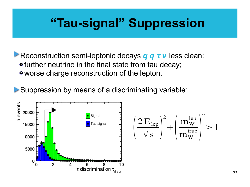## **"Tau-signal" Suppression**

**Reconstruction semi-leptonic decays** *q q τ ν* **less clean: •** further neutrino in the final state from tau decay; worse charge reconstruction of the lepton.

Suppression by means of a discriminating variable:



$$
\left(\frac{2\,E_{\text{lep}}}{\sqrt{s}}\right)^2 + \left(\frac{m_{\text{w}}^{\text{lep}}}{m_{\text{w}}^{\text{true}}}\right)^2 > 1
$$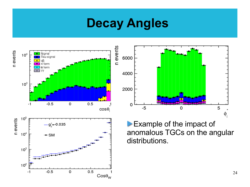#### **Decay Angles**



5

φ,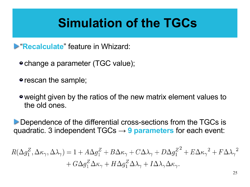# **Simulation of the TGCs**

**Example 2 Figure 12 Figure 12 Figure 12 Figure 2 Figure 2 Figure 2 Figure 2 Figure 2 Figure 2 Figure 2 Figure 2 Figure 2 Figure 2 Figure 2 Figure 2 Figure 2 Figure 2 Figure 2 Figure 2 Figure 2 Figure 2 Figure 2 Figure 2 F** 

- change a parameter (TGC value);
- rescan the sample;
- weight given by the ratios of the new matrix element values to the old ones.

Dependence of the differential cross-sections from the TGCs is quadratic. 3 independent TGCs → **9 parameters** for each event:

$$
R(\Delta g_1^Z, \Delta \kappa_\gamma, \Delta \lambda_\gamma) = 1 + A \Delta g_1^Z + B \Delta \kappa_\gamma + C \Delta \lambda_\gamma + D \Delta g_1^{Z^2} + E \Delta \kappa_\gamma^2 + F \Delta \lambda_\gamma^2 + G \Delta g_1^Z \Delta \kappa_\gamma + H \Delta g_1^Z \Delta \lambda_\gamma + I \Delta \lambda_\gamma \Delta \kappa_\gamma.
$$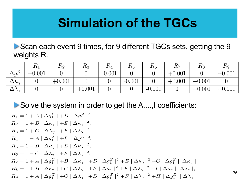# **Simulation of the TGCs**

Scan each event 9 times, for 9 different TGCs sets, getting the 9 weights R.

|                           | エレコ      | $\mathbf{n}_2$ | $\pi_3$  | 104      | $\pi_5$  | $\pi_6$  | $\pi_7$  | ⊥ւՑ      | 1 L.Q    |
|---------------------------|----------|----------------|----------|----------|----------|----------|----------|----------|----------|
| $\Delta g^2$              | $+0.001$ |                |          | $-0.001$ |          |          | $+0.001$ |          | $+0.001$ |
| $\Delta\kappa_{\gamma}$   |          | $+0.001$       |          |          | $-0.001$ |          | $+0.001$ | $+0.001$ |          |
| $\Delta \Lambda_{\gamma}$ |          |                | $+0.001$ |          |          | $-0.001$ |          | $+0.001$ | $+0.001$ |

Solve the system in order to get the A,..., coefficients:

 $R_1 = 1 + A |\Delta q_1^Z| + D |\Delta q_1^Z|^2$  $R_2 = 1 + B |\Delta \kappa_{\gamma}| + E |\Delta \kappa_{\gamma}|^2.$  $R_3 = 1 + C |\Delta\lambda_{\gamma}| + F |\Delta\lambda_{\gamma}|^2$  $R_4 = 1 - A |\Delta g_1^Z| + D |\Delta g_1^Z|^2,$  $R_5 = 1 - B |\Delta \kappa_{\gamma}| + E |\Delta \kappa_{\gamma}|^2$  $R_6 = 1 - C |\Delta\lambda_{\gamma}| + F |\Delta\lambda_{\gamma}|^2$  $R_7 = 1 + A |\Delta g_1^Z| + B |\Delta \kappa_\gamma| + D |\Delta g_1^Z|^2 + E |\Delta \kappa_\gamma|^2 + G |\Delta g_1^Z|| \Delta \kappa_\gamma|,$  $R_8 = 1 + B |\Delta \kappa_\gamma| + C |\Delta \lambda_\gamma| + E |\Delta \kappa_\gamma|^2 + F |\Delta \lambda_\gamma|^2 + I |\Delta \kappa_\gamma| |\Delta \lambda_\gamma|,$  $R_9 = 1 + A |\Delta g_1^Z| + C |\Delta \lambda_\gamma| + D |\Delta g_1^Z|^2 + F |\Delta \lambda_\gamma|^2 + H |\Delta g_1^Z| |\Delta \lambda_\gamma|.$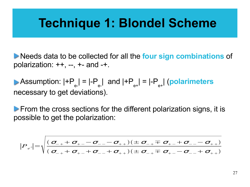#### **Technique 1: Blondel Scheme**

Needs data to be collected for all the **four sign combinations** of polarization:  $++$ ,  $--$ ,  $+-$  and  $-+$ .

Assumption: |+P e-  $| = |-P|$ e- | and |+P e+  $| = |-P|$ e+ | (**polarimeters** necessary to get deviations).

 $\triangleright$  From the cross sections for the different polarization signs, it is possible to get the polarization:

$$
|P_{e^{\pm}}| = \sqrt{\frac{(\sigma_{-+} + \sigma_{+-} - \sigma_{--} - \sigma_{++})(\pm \sigma_{-+} \mp \sigma_{+-} + \sigma_{--} - \sigma_{++})}{(\sigma_{-+} + \sigma_{+-} + \sigma_{--} + \sigma_{++})(\pm \sigma_{-+} \mp \sigma_{+-} - \sigma_{--} + \sigma_{++})}}
$$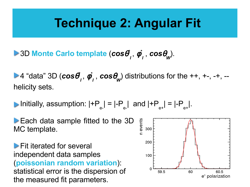#### **Technique 2: Angular Fit**

3D **Monte Carlo template** (*cos*θ *\* l*  , φ *\* l* , *cos*θ *W* ).

4 "data" 3D (*cos*θ *\* l*  , φ *\* l* , *cos*θ *W* ) distributions for the ++, +-, -+, - helicity sets.

Initially, assumption: |+P e-  $| = |-P|$ e- | and |+P e+  $| = |-P|$ e+ |.

**Each data sample fitted to the 3D** MC template.

**Fit iterated for several** independent data samples (**poissonian random variation**): statistical error is the dispersion of the measured fit parameters.